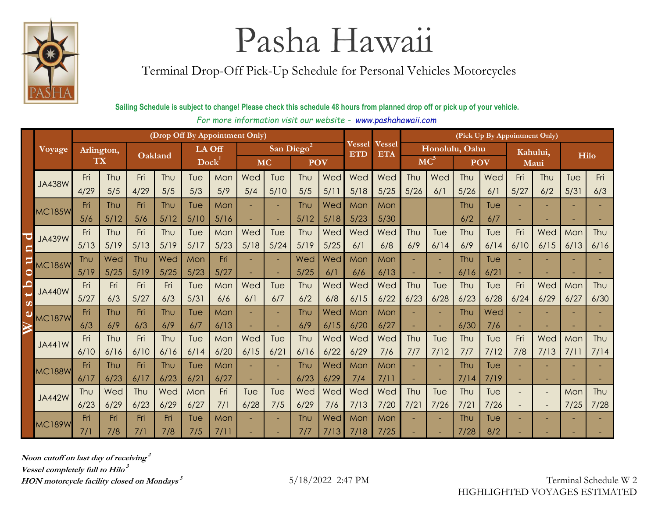

Terminal Drop-Off Pick-Up Schedule for Personal Vehicles Motorcycles

#### **Sailing Schedule is subject to change! Please check this schedule 48 hours from planned drop off or pick up of your vehicle.**

*For more information visit our website - www.pashahawaii.com* **Last Day of Receiving**

|                        |               |                  |      |         |      | (Drop Off By Appointment Only) |      |           |        |                        |      | (Pick Up By Appointment Only) |               |                |      |            |      |          |                          |      |      |
|------------------------|---------------|------------------|------|---------|------|--------------------------------|------|-----------|--------|------------------------|------|-------------------------------|---------------|----------------|------|------------|------|----------|--------------------------|------|------|
|                        |               |                  |      |         |      |                                |      |           |        |                        |      | Vessel                        | <b>Vessel</b> | Honolulu, Oahu |      |            |      |          |                          |      |      |
|                        | Voyage        | Arlington,<br>TX |      | Oakland |      | <b>LA Off</b><br>Dock          |      |           |        | San Diego <sup>2</sup> |      | <b>ETD</b>                    | <b>ETA</b>    |                |      |            |      | Kahului, |                          |      | Hilo |
|                        |               |                  |      |         |      |                                |      | <b>MC</b> |        | <b>POV</b>             |      |                               |               | $MC^5$         |      | <b>POV</b> |      | Maui     |                          |      |      |
|                        |               | Fri              | Thu  | Fri     | Thu  | Tue                            | Mon  | Wed       | Tue    | Thu                    | Wed  | Wed                           | Wed           | Thu            | Wed  | Thu        | Wed  | Fri      | Thu                      | Tue  | Fri  |
|                        | <b>JA438W</b> | 4/29             | 5/5  | 4/29    | 5/5  | 5/3                            | 5/9  | 5/4       | 5/10   | 5/5                    | 5/11 | 5/18                          | 5/25          | 5/26           | 6/1  | 5/26       | 6/1  | 5/27     | 6/2                      | 5/31 | 6/3  |
|                        |               | Fri              | Thu  | Fri     | Thu  | Tue                            | Mon  |           | ٠      | Thu                    | Wed  | Mon                           | Mon           |                |      | Thu        | Tue  |          |                          |      |      |
|                        | <b>MC185W</b> | 5/6              | 5/12 | 5/6     | 5/12 | 5/10                           | 5/16 |           | х.     | 5/12                   | 5/18 | 5/23                          | 5/30          |                |      | 6/2        | 6/7  |          | ٠                        |      |      |
| C                      | <b>JA439W</b> | Fri              | Thu  | Fri     | Thu  | Tue                            | Mon  | Wed       | Tue    | Thu                    | Wed  | Wed                           | Wed           | Thu            | Tue  | Thu        | Tue  | Fri      | Wed                      | Mon  | Thu  |
|                        |               | 5/13             | 5/19 | 5/13    | 5/19 | 5/17                           | 5/23 | 5/18      | $5/24$ | 5/19                   | 5/25 | 6/1                           | 6/8           | 6/9            | 6/14 | 6/9        | 6/14 | 6/10     | 6/15                     | 6/13 | 6/16 |
| P                      | <b>MC186W</b> | Thu              | Wed  | Thu     | Wed  | Mon                            | Fri  |           | ٠      | Wed                    | Wed  | Mon                           | Mon           |                | ÷.   | Thu        | Tue  |          |                          |      |      |
| $\mathsf{C}$           |               | 5/19             | 5/25 | 5/19    | 5/25 | 5/23                           | 5/27 |           | ٠      | 5/25                   | 6/1  | 6/6                           | 6/13          |                |      | 6/16       | 6/21 |          |                          |      |      |
| $\mathbf{\Omega}$<br>Ë | <b>JA440W</b> | Fri              | Fri  | Fri     | Fri  | Tue                            | Mon  | Wed       | Tue    | Thu                    | Wed  | Wed                           | Wed           | Thu            | Tue  | Thu        | Tue  | Fri      | Wed                      | Mon  | Thu  |
| $\sigma$               |               | 5/27             | 6/3  | 5/27    | 6/3  | 5/31                           | 6/6  | 6/1       | 6/7    | 6/2                    | 6/8  | 6/15                          | 6/22          | 6/23           | 6/28 | 6/23       | 6/28 | 6/24     | 6/29                     | 6/27 | 6/30 |
| ω                      | <b>MC187W</b> | Fri              | Thu  | Fri     | Thu  | Tue                            | Mon  |           | ٠      | Thu                    | Wed  | Mon                           | Mon           |                |      | Thu        | Wed  |          |                          |      |      |
|                        |               | 6/3              | 6/9  | 6/3     | 6/9  | 6/7                            | 6/13 |           | ٠      | 6/9                    | 6/15 | 6/20                          | 6/27          |                |      | 6/30       | 7/6  |          |                          |      |      |
|                        | <b>JA441W</b> | Fri              | Thu  | Fri     | Thu  | Tue                            | Mon  | Wed       | Tue    | Thu                    | Wed  | Wed                           | Wed           | Thu            | Tue  | Thu        | Tue  | Fri      | Wed                      | Mon  | Thu  |
|                        |               | 6/10             | 6/16 | 6/10    | 6/16 | 6/14                           | 6/20 | 6/15      | 6/2    | 6/16                   | 6/22 | 6/29                          | 7/6           | 7/7            | 7/12 | 7/7        | 7/12 | 7/8      | 7/13                     | 7/11 | 7/14 |
|                        | <b>MC188W</b> | Fri              | Thu  | Fri     | Thu  | Tue                            | Mon  |           | ٠      | Thu                    | Wed  | Mon                           | Mon           |                | ٠    | Thu        | Tue  |          |                          |      |      |
|                        |               | 6/17             | 6/23 | 6/17    | 6/23 | 6/21                           | 6/27 |           | ٠      | 6/23                   | 6/29 | 7/4                           | 7/11          |                | ц,   | 7/14       | 7/19 |          | ٠                        |      |      |
|                        | <b>JA442W</b> | Thu              | Wed  | Thu     | Wed  | Mon                            | Fri  | Tue       | Tue    | Wed                    | Wed  | Wed                           | Wed           | Thu            | Tue  | Thu        | Tue  |          | $\overline{\phantom{a}}$ | Mon  | Thu  |
|                        |               | 6/23             | 6/29 | 6/23    | 6/29 | 6/27                           | 7/1  | 6/28      | 7/5    | 6/29                   | 7/6  | 7/13                          | 7/20          | 7/21           | 7/26 | 7/2        | 7/26 |          | $\sim$                   | 7/25 | 7/28 |
|                        | <b>MC189W</b> | Fri              | Fri  | Fri     | Fri  | Tue                            | Mon  |           | ٠      | Thu                    | Wed  | Mon                           | Mon           |                |      | Thu        | Tue  |          |                          |      |      |
|                        |               | 7/1              | 7/8  | 7/1     | 7/8  | 7/5                            | 7/11 |           |        | 7/7                    | 7/13 | 7/18                          | 7/25          |                |      | 7/28       | 8/2  |          |                          |      |      |

**Noon cutoff on last day of receiving 2 Vessel completely full to Hilo 3 HON motorcycle facility closed on Mondays**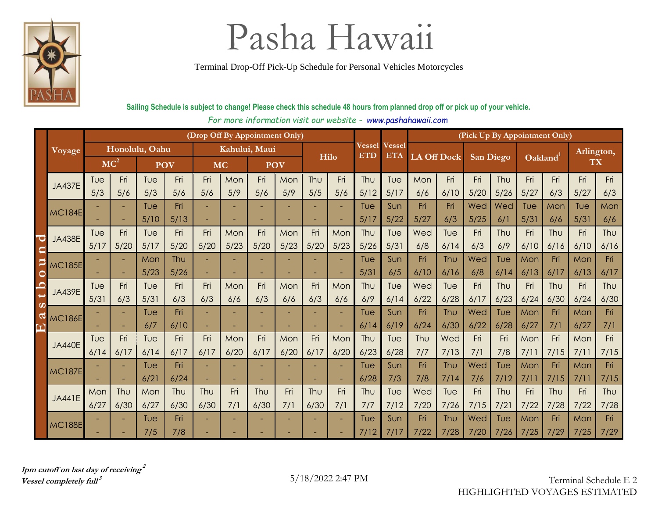

Terminal Drop-Off Pick-Up Schedule for Personal Vehicles Motorcycles

### **Sailing Schedule is subject to change! Please check this schedule 48 hours from planned drop off or pick up of your vehicle.**

For more information visit our website - www.pashahawaii.com

|                       |               |                 | (Drop Off By Appointment Only) |            |      |               |      |            |      |      |      |                      |                             | (Pick Up By Appointment Only) |      |                  |      |                |      |            |      |  |  |  |  |  |
|-----------------------|---------------|-----------------|--------------------------------|------------|------|---------------|------|------------|------|------|------|----------------------|-----------------------------|-------------------------------|------|------------------|------|----------------|------|------------|------|--|--|--|--|--|
|                       | Voyage        | Honolulu, Oahu  |                                |            |      | Kahului, Maui |      |            |      | Hilo |      | <b>Vessel</b><br>ETD | <b>Vessel</b><br><b>ETA</b> | <b>LA Off Dock</b>            |      | <b>San Diego</b> |      | <b>Oakland</b> |      | Arlington, |      |  |  |  |  |  |
|                       |               | MC <sup>2</sup> |                                | <b>POV</b> |      | <b>MC</b>     |      | <b>POV</b> |      |      |      |                      |                             |                               |      |                  |      |                |      | TX         |      |  |  |  |  |  |
|                       | <b>JA437E</b> | Tue             | Fri                            | Tue        | Fri  | Fri           | Mon  | Fri        | Mon  | Thu  | Fri  | Thu                  | Tue                         | Mon                           | Fri  | Fri              | Thu  | Fri            | Fri  | Fri        | Fri  |  |  |  |  |  |
|                       |               | 5/3             | 5/6                            | 5/3        | 5/6  | 5/6           | 5/9  | 5/6        | 5/9  | 5/5  | 5/6  | 5/12                 | 5/17                        | 6/6                           | 6/10 | 5/20             | 5/26 | 5/27           | 6/3  | 5/27       | 6/3  |  |  |  |  |  |
|                       | <b>MC184E</b> |                 | ٠                              | Tue        | Fri  |               |      |            | ٠    |      |      | Tue                  | Sun                         | Fri                           | Fri  | Wed              | Wed  | Tue            | Mon  | Tue        | Mon  |  |  |  |  |  |
|                       |               |                 |                                | 5/10       | 5/13 |               |      |            |      |      |      | 5/17                 | 5/22                        | 5/27                          | 6/3  | 5/25             | 6/1  | 5/31           | 6/6  | 5/31       | 6/6  |  |  |  |  |  |
|                       | <b>JA438E</b> | Tue             | Fri                            | Tue        | Fri  | Fri           | Mon  | Fri        | Mon  | Fri  | Mon  | Thu                  | Tue                         | Wed                           | Tue  | Fri              | Thu  | Fri            | Thu  | Fri        | Thu  |  |  |  |  |  |
|                       |               | 5/17            | 5/20                           | 5/17       | 5/20 | 5/20          | 5/23 | 5/20       | 5/23 | 5/20 | 5/23 | 5/26                 | 5/31                        | 6/8                           | 6/14 | 6/3              | 6/9  | 6/10           | 6/16 | 6/10       | 6/16 |  |  |  |  |  |
|                       | <b>MC185E</b> |                 |                                | Mon        | Thu  |               |      |            |      |      |      | Tue                  | Sun                         | Fri                           | Thu  | Wed              | Tue  | Mon            | Fri  | Mon        | Fri  |  |  |  |  |  |
| ᅌ                     |               |                 | ۰                              | 5/23       | 5/26 |               |      |            |      |      |      | 5/3                  | 6/5                         | 6/10                          | 6/16 | 6/8              | 6/14 | 6/13           | 6/17 | 6/13       | 6/17 |  |  |  |  |  |
|                       | <b>JA439E</b> | Tue             | Fri                            | Tue        | Fri  | Fri           | Mon  | Fri        | Mon  | Fri  | Mon  | Thu                  | Tue                         | Wed                           | Tue  | Fri              | Thu  | Fri            | Thu  | Fri        | Thu  |  |  |  |  |  |
| $\boldsymbol{\omega}$ |               | 5/31            | 6/3                            | 5/31       | 6/3  | 6/3           | 6/6  | 6/3        | 6/6  | 6/3  | 6/6  | 6/9                  | 6/14                        | 6/22                          | 6/28 | 6/17             | 6/23 | 6/24           | 6/30 | 6/24       | 6/30 |  |  |  |  |  |
|                       | <b>MC186E</b> |                 |                                | Tue        | Fri  |               |      |            | -    |      |      | Tue                  | Sun                         | Fri                           | Thu  | Wed              | Tue  | Mon            | Fri  | Mon        | Fri  |  |  |  |  |  |
|                       |               |                 |                                | 6/7        | 6/10 |               |      |            |      |      |      | 6/14                 | 6/19                        | 6/24                          | 6/30 | 6/22             | 6/28 | 6/27           | 7/1  | 6/27       | 7/1  |  |  |  |  |  |
|                       | <b>JA440E</b> | Tue             | Fri                            | Tue        | Fri  | Fri           | Mon  | Fri        | Mon  | Fri  | Mon  | Thu                  | Tue                         | Thu                           | Wed  | Fri              | Fri  | Mon            | Fri  | Mon        | Fri  |  |  |  |  |  |
|                       |               | 6/14            | 6/17                           | 6/14       | 6/17 | 6/17          | 6/20 | 6/17       | 6/20 | 6/17 | 6/20 | 6/23                 | 6/28                        | 7/7                           | 7/13 | 7/1              | 7/8  | 7/11           | 7/15 | 7/11       | 7/15 |  |  |  |  |  |
|                       | <b>MC187E</b> |                 | ۰                              | Tue        | Fri  |               |      |            | ٠    |      |      | Tue                  | Sun                         | Fri                           | Thu  | Wed              | Tue  | Mon            | Fri  | Mon        | Fri  |  |  |  |  |  |
|                       |               |                 | ٠                              | 6/21       | 6/24 |               |      |            | ٠    |      |      | 6/28                 | 7/3                         | 7/8                           | 7/14 | 7/6              | 7/12 | 7/11           | 7/15 | 7/11       | 7/15 |  |  |  |  |  |
|                       | <b>JA441E</b> | Mon             | Thu                            | Mon        | Thu  | Thu           | Fri  | Thu        | Fri  | Thu  | Fri  | Thu                  | Tue                         | Wed                           | Tue  | Fri              | Thu  | Fri            | Thu  | Fri        | Thu  |  |  |  |  |  |
|                       |               | 6/27            | 6/30                           | 6/27       | 6/30 | 6/30          | 7/1  | 6/30       | 7/1  | 6/30 | 7/1  | 7/7                  | 7/12                        | 7/20                          | 7/26 | 7/15             | 7/21 | 7/22           | 7/28 | 7/22       | 7/28 |  |  |  |  |  |
|                       | <b>MC188E</b> |                 |                                | Tue        | Fri  |               |      |            |      |      |      | Tue                  | Sun                         | Fri                           | Thu  | Wed              | Tue  | Mon            | Fri  | Mon        | Fri  |  |  |  |  |  |
|                       |               |                 |                                | 7/5        | 7/8  |               |      |            |      |      |      | 7/12                 | 7/17                        | 7/22                          | 7/28 | 7/20             | 7/26 | 7/25           | 7/29 | 7/25       | 7/29 |  |  |  |  |  |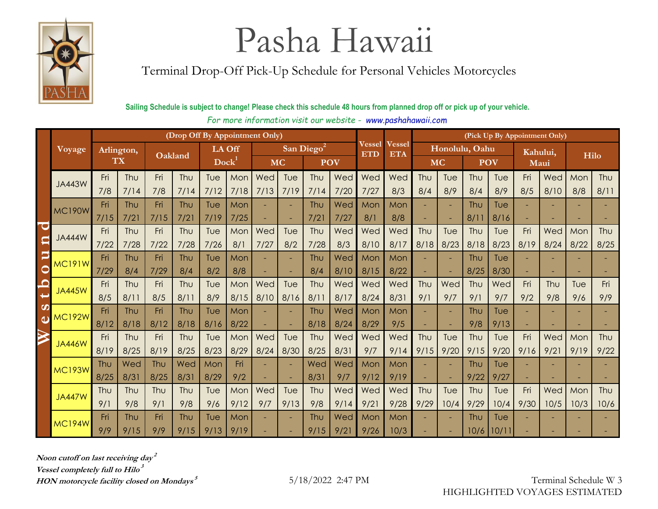

Terminal Drop-Off Pick-Up Schedule for Personal Vehicles Motorcycles

### **Sailing Schedule is subject to change! Please check this schedule 48 hours from planned drop off or pick up of your vehicle.**

|   |               |                  |             |             |             | (Drop Off By Appointment Only) |             |            |             |                        |             |               | (Pick Up By Appointment Only) |             |                |                    |             |                  |             |             |             |
|---|---------------|------------------|-------------|-------------|-------------|--------------------------------|-------------|------------|-------------|------------------------|-------------|---------------|-------------------------------|-------------|----------------|--------------------|-------------|------------------|-------------|-------------|-------------|
|   | Voyage        | Arlington,<br>TX |             | Oakland     |             | LA Off                         |             |            |             | San Diego <sup>2</sup> |             | <b>Vessel</b> | Vessel                        |             | Honolulu, Oahu |                    |             |                  |             |             |             |
|   |               |                  |             |             |             | <b>Dock</b>                    |             | <b>MC</b>  |             |                        | <b>POV</b>  | <b>ETD</b>    | <b>ETA</b>                    | <b>MC</b>   |                |                    | <b>POV</b>  | Kahului,<br>Maui |             | Hilo        |             |
|   |               | Fri              | Thu         | Fri         | Thu         | Tue                            | Mon         | Wed        | Tue         | Thu                    | Wed         | Wed           | Wed                           | Thu         | Tue            | Thu                | Tue         | Fri              | Wed         | Mon         | Thu         |
|   | <b>JA443W</b> | 7/8              | 7/14        | 7/8         | 7/14        | 7/12                           | 7/18        | 7/13       | 7/19        | 7/14                   | 7/20        | 7/27          | 8/3                           | 8/4         | 8/9            | 8/4                | 8/9         | 8/5              | 8/10        | 8/8         | 8/11        |
|   | <b>MC190W</b> | Fri              | Thu         | Fri         | Thu         | Tue                            | Mon         | ۰          | ٠           | Thu                    | Wed         | Mon           | Mon                           |             |                | Thu                | Tue         |                  |             |             |             |
|   |               | 7/15             | 7/2         | 7/15        | 7/21        | 7/19                           | 7/25        | ٠          | ٠           | 7/21                   | 7/27        | 8/1           | 8/8                           |             | ٠              | $8/1$ <sup>-</sup> | 8/16        |                  |             |             |             |
|   | <b>JA444W</b> | Fri              | Thu         | Fri         | Thu         | Tue                            | Mon         | Wed        | Tue         | Thu                    | Wed         | Wed           | Wed                           | Thu         | Tue            | Thu                | Tue         | Fri              | Wed         | Mon         | Thu         |
|   |               | 7/22             | 7/28        | 7/22        | 7/28        | 7/26                           | 8/1         | 7/27       | 8/2         | 7/28                   | 8/3         | 8/10          | 8/17                          | 8/18        | 8/23           | 8/18               | 8/23        | 8/19             | 8/24        | 8/22        | 8/25        |
| Þ | <b>MC191W</b> | Fri              | Thu         | Fri         | Thu         | Tue                            | Mon         | ٠          |             | Thu                    | Wed         | Mon           | Mon                           |             |                | Thu                | Tue         |                  |             |             |             |
| 0 |               | 7/29             | 8/4         | 7/29        | 8/4         | 8/2                            | 8/8         |            | ٠           | 8/4                    | 8/10        | 8/15          | 8/22                          |             |                | 8/25               | 8/30        |                  |             |             |             |
| O | <b>JA445W</b> | Fri              | Thu         | Fri         | Thu         | Tue                            | Mon         | Wed        | Tue         | Thu                    | Wed         | Wed           | Wed                           | Thu         | Wed            | Thu                | Wed         | Fri              | Thu         | Tue         | Fri         |
| တ |               | 8/5              | 8/11        | 8/5         | 8/11        | 8/9                            | 8/15        | 8/10       | 8/16        | 8/1                    | 8/17        | 8/24          | 8/31                          | 9/1         | 9/7            | 9/1                | 9/7         | 9/2              | 9/8         | 9/6         | 9/9         |
| d | <b>MC192W</b> | Fri              | Thu         | Fri         | Thu         | Tue                            | Mon         | ٠          | ٠           | Thu                    | Wed         | Mon           | Mon                           |             |                | Thu                | Tue         |                  | ٠           |             |             |
|   |               | 8/12             | 8/18        | 8/12        | 8/18        | 8/16                           | 8/22        |            |             | 8/18                   | 8/24        | 8/29          | 9/5                           |             |                | 9/8                | 9/13        |                  |             |             |             |
|   | <b>JA446W</b> | Fri              | Thu         | Fri         | Thu         | Tue                            | Mon         | Wed        | Tue         | Thu                    | Wed         | Wed           | Wed                           | Thu         | Tue            | Thu                | Tue         | Fri              | Wed         | Mon         | Thu         |
|   |               | 8/19             | 8/25        | 8/19        | 8/25        | 8/23                           | 8/29        | 8/24       | 8/30        | 8/25                   | 8/31        | 9/7           | 9/14                          | 9/15        | 9/20           | 9/15               | 9/20        | 9/16             | 9/2         | 9/19        | 9/22        |
|   | <b>MC193W</b> | Thu<br>8/25      | Wed<br>8/31 | Thu<br>8/25 | Wed<br>8/31 | Mon<br>8/29                    | Fri<br>9/2  | ٠          | ٠           | Wed<br>8/31            | Wed<br>9/7  | Mon           | Mon                           |             |                | Thu<br>9/22        | Tue<br>9/27 |                  |             |             |             |
|   |               |                  |             |             |             |                                |             | ٠          | ÷,          |                        |             | 9/12          | 9/19                          |             |                |                    |             |                  |             |             |             |
|   | <b>JA447W</b> | Thu<br>9/1       | Thu<br>9/8  | Thu<br>9/1  | Thu<br>9/8  | Tue<br>9/6                     | Mon<br>9/12 | Wed<br>9/7 | Tue<br>9/13 | Thu<br>9/8             | Wed<br>9/14 | Wed<br>9/21   | Wed<br>9/28                   | Thu<br>9/29 | Tue<br>10/4    | Thu<br>9/29        | Tue<br>10/4 | Fri<br>9/30      | Wed<br>10/5 | Mon<br>10/3 | Thu<br>10/6 |
|   |               | Fri              | Thu         | Fri         | Thu         | Tue                            | Mon         |            |             | Thu                    | Wed         | Mon           | Mon                           |             |                | Thu                | Tue         |                  |             |             |             |
|   | <b>MC194W</b> | 9/9              | 9/15        | 9/9         | 9/15        | 9/13                           | 9/19        |            |             | 9/15                   | 9/21        | 9/26          | 10/3                          |             |                | 10/6               | 10/11       |                  |             |             |             |
|   |               |                  |             |             |             |                                |             |            |             |                        |             |               |                               |             |                |                    |             |                  |             |             |             |

*For more information visit our website - www.pashahawaii.com* **Last Day of Receiving**

**Noon cutoff on last receiving day 2 Vessel completely full to Hilo 3**

**HON motorcycle facility closed on Mondays**